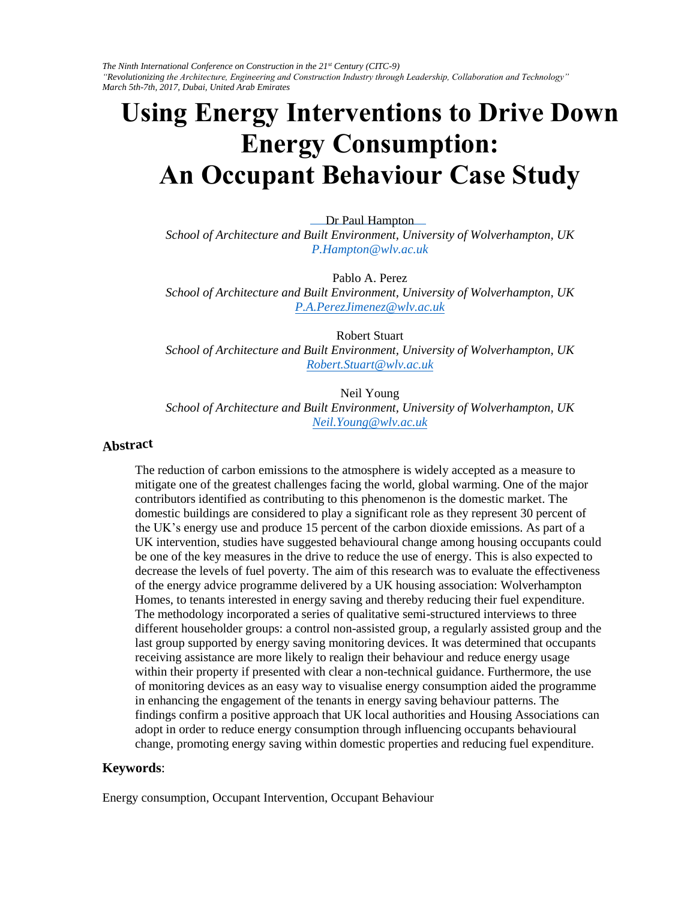*The Ninth International Conference on Construction in the 21st Century (CITC-9) "Revolutionizing the Architecture, Engineering and Construction Industry through Leadership, Collaboration and Technology" March 5th-7th, 2017, Dubai, United Arab Emirates* 

# **Using Energy Interventions to Drive Down Energy Consumption: An Occupant Behaviour Case Study**

Dr [Paul Hampton](mailto:P.Hampton@wlv.ac.uk) 

*School of Architecture and Built Environment, University of Wolverhampton, UK P.Hampton@wlv.ac.uk*

[Pablo A. Perez](mailto:P.A.PerezJimenez@wlv.ac.uk) 

*School of Architecture and Built Environment, University of Wolverhampton, UK P.A.PerezJimenez@wlv.ac.uk*

[Robert Stuart](mailto:Robert.Stuart@wlv.ac.uk) 

*School of Architecture and Built Environment, University of Wolverhampton, UK Robert.Stuart@wlv.ac.uk*

[Neil Young](mailto:Neil.Young@wlv.ac.uk)  *School of Architecture and Built Environment, University of Wolverhampton, UK Neil.Young@wlv.ac.uk*

#### **Abstract**

The reduction of carbon emissions to the atmosphere is widely accepted as a measure to mitigate one of the greatest challenges facing the world, global warming. One of the major contributors identified as contributing to this phenomenon is the domestic market. The domestic buildings are considered to play a significant role as they represent 30 percent of the UK's energy use and produce 15 percent of the carbon dioxide emissions. As part of a UK intervention, studies have suggested behavioural change among housing occupants could be one of the key measures in the drive to reduce the use of energy. This is also expected to decrease the levels of fuel poverty. The aim of this research was to evaluate the effectiveness of the energy advice programme delivered by a UK housing association: Wolverhampton Homes, to tenants interested in energy saving and thereby reducing their fuel expenditure. The methodology incorporated a series of qualitative semi-structured interviews to three different householder groups: a control non-assisted group, a regularly assisted group and the last group supported by energy saving monitoring devices. It was determined that occupants receiving assistance are more likely to realign their behaviour and reduce energy usage within their property if presented with clear a non-technical guidance. Furthermore, the use of monitoring devices as an easy way to visualise energy consumption aided the programme in enhancing the engagement of the tenants in energy saving behaviour patterns. The findings confirm a positive approach that UK local authorities and Housing Associations can adopt in order to reduce energy consumption through influencing occupants behavioural change, promoting energy saving within domestic properties and reducing fuel expenditure.

#### **Keywords**:

Energy consumption, Occupant Intervention, Occupant Behaviour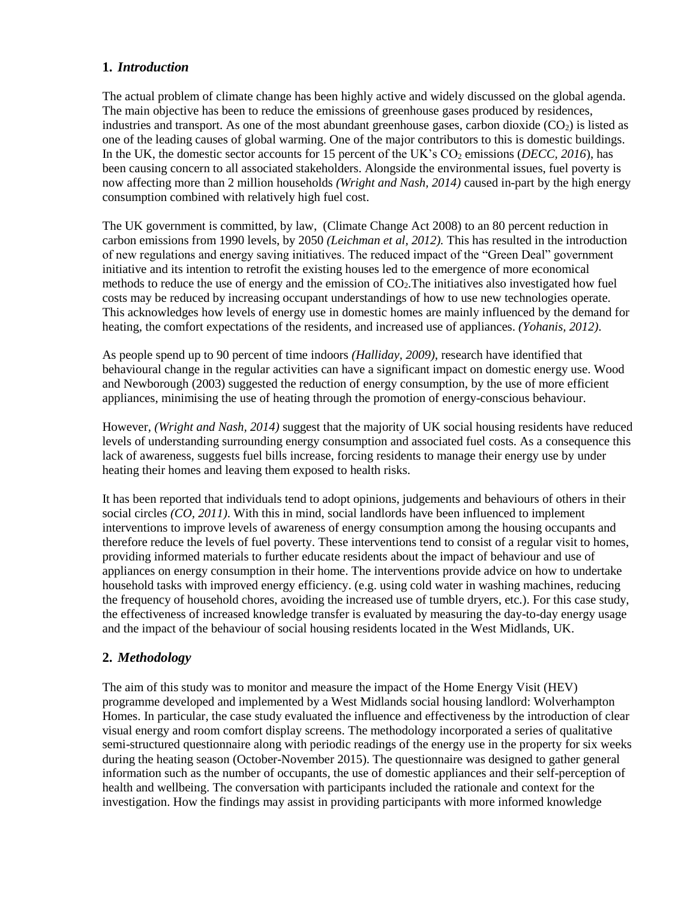# **1.** *Introduction*

The actual problem of climate change has been highly active and widely discussed on the global agenda. The main objective has been to reduce the emissions of greenhouse gases produced by residences, industries and transport. As one of the most abundant greenhouse gases, carbon dioxide  $(CO<sub>2</sub>)$  is listed as one of the leading causes of global warming. One of the major contributors to this is domestic buildings. In the UK, the domestic sector accounts for 15 percent of the UK's CO<sub>2</sub> emissions (*DECC*, 2016), has been causing concern to all associated stakeholders. Alongside the environmental issues, fuel poverty is now affecting more than 2 million households *(Wright and Nash, 2014)* caused in-part by the high energy consumption combined with relatively high fuel cost.

The UK government is committed, by law, (Climate Change Act 2008) to an 80 percent reduction in carbon emissions from 1990 levels, by 2050 *(Leichman et al, 2012).* This has resulted in the introduction of new regulations and energy saving initiatives. The reduced impact of the "Green Deal" government initiative and its intention to retrofit the existing houses led to the emergence of more economical methods to reduce the use of energy and the emission of  $CO<sub>2</sub>$ . The initiatives also investigated how fuel costs may be reduced by increasing occupant understandings of how to use new technologies operate. This acknowledges how levels of energy use in domestic homes are mainly influenced by the demand for heating, the comfort expectations of the residents, and increased use of appliances. *(Yohanis, 2012)*.

As people spend up to 90 percent of time indoors *(Halliday, 2009)*, research have identified that behavioural change in the regular activities can have a significant impact on domestic energy use. Wood and Newborough (2003) suggested the reduction of energy consumption, by the use of more efficient appliances, minimising the use of heating through the promotion of energy-conscious behaviour.

However, *(Wright and Nash, 2014)* suggest that the majority of UK social housing residents have reduced levels of understanding surrounding energy consumption and associated fuel costs. As a consequence this lack of awareness, suggests fuel bills increase, forcing residents to manage their energy use by under heating their homes and leaving them exposed to health risks.

It has been reported that individuals tend to adopt opinions, judgements and behaviours of others in their social circles *(CO, 2011)*. With this in mind, social landlords have been influenced to implement interventions to improve levels of awareness of energy consumption among the housing occupants and therefore reduce the levels of fuel poverty. These interventions tend to consist of a regular visit to homes, providing informed materials to further educate residents about the impact of behaviour and use of appliances on energy consumption in their home. The interventions provide advice on how to undertake household tasks with improved energy efficiency. (e.g. using cold water in washing machines, reducing the frequency of household chores, avoiding the increased use of tumble dryers, etc.). For this case study, the effectiveness of increased knowledge transfer is evaluated by measuring the day-to-day energy usage and the impact of the behaviour of social housing residents located in the West Midlands, UK.

# **2.** *Methodology*

The aim of this study was to monitor and measure the impact of the Home Energy Visit (HEV) programme developed and implemented by a West Midlands social housing landlord: Wolverhampton Homes. In particular, the case study evaluated the influence and effectiveness by the introduction of clear visual energy and room comfort display screens. The methodology incorporated a series of qualitative semi-structured questionnaire along with periodic readings of the energy use in the property for six weeks during the heating season (October-November 2015). The questionnaire was designed to gather general information such as the number of occupants, the use of domestic appliances and their self-perception of health and wellbeing. The conversation with participants included the rationale and context for the investigation. How the findings may assist in providing participants with more informed knowledge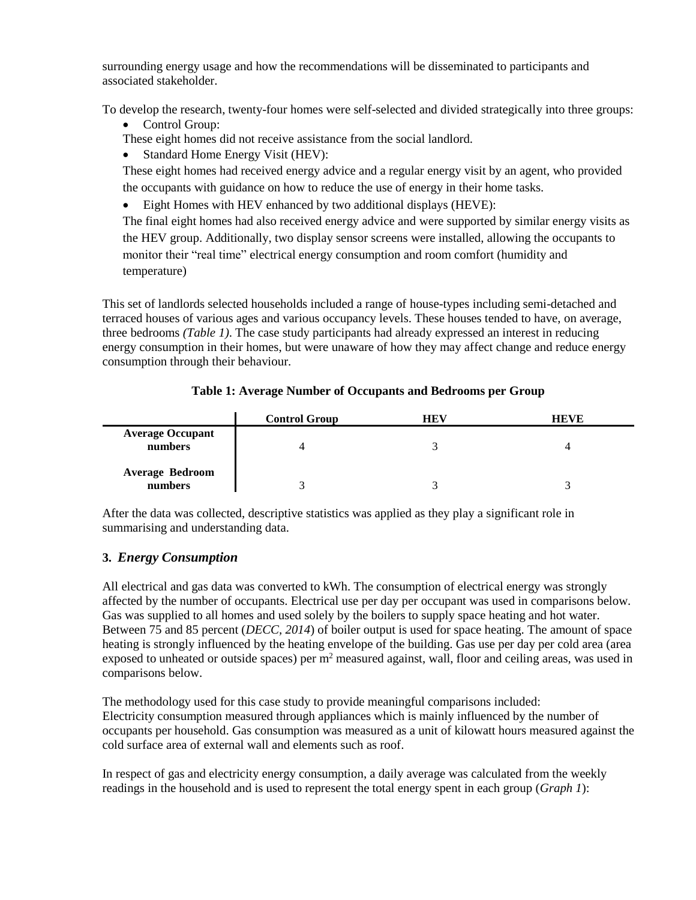surrounding energy usage and how the recommendations will be disseminated to participants and associated stakeholder.

To develop the research, twenty-four homes were self-selected and divided strategically into three groups:

• Control Group:

These eight homes did not receive assistance from the social landlord.

• Standard Home Energy Visit (HEV):

These eight homes had received energy advice and a regular energy visit by an agent, who provided the occupants with guidance on how to reduce the use of energy in their home tasks.

Eight Homes with HEV enhanced by two additional displays (HEVE):

The final eight homes had also received energy advice and were supported by similar energy visits as the HEV group. Additionally, two display sensor screens were installed, allowing the occupants to monitor their "real time" electrical energy consumption and room comfort (humidity and temperature)

This set of landlords selected households included a range of house-types including semi-detached and terraced houses of various ages and various occupancy levels. These houses tended to have, on average, three bedrooms *(Table 1)*. The case study participants had already expressed an interest in reducing energy consumption in their homes, but were unaware of how they may affect change and reduce energy consumption through their behaviour.

|                                    | <b>Control Group</b> | <b>HEV</b> | <b>HEVE</b> |
|------------------------------------|----------------------|------------|-------------|
| <b>Average Occupant</b><br>numbers |                      |            |             |
| <b>Average Bedroom</b><br>numbers  |                      |            |             |

### **Table 1: Average Number of Occupants and Bedrooms per Group**

After the data was collected, descriptive statistics was applied as they play a significant role in summarising and understanding data.

# **3.** *Energy Consumption*

All electrical and gas data was converted to kWh. The consumption of electrical energy was strongly affected by the number of occupants. Electrical use per day per occupant was used in comparisons below. Gas was supplied to all homes and used solely by the boilers to supply space heating and hot water. Between 75 and 85 percent (*DECC, 2014*) of boiler output is used for space heating. The amount of space heating is strongly influenced by the heating envelope of the building. Gas use per day per cold area (area exposed to unheated or outside spaces) per  $m<sup>2</sup>$  measured against, wall, floor and ceiling areas, was used in comparisons below.

The methodology used for this case study to provide meaningful comparisons included: Electricity consumption measured through appliances which is mainly influenced by the number of occupants per household. Gas consumption was measured as a unit of kilowatt hours measured against the cold surface area of external wall and elements such as roof.

In respect of gas and electricity energy consumption, a daily average was calculated from the weekly readings in the household and is used to represent the total energy spent in each group (*Graph 1*):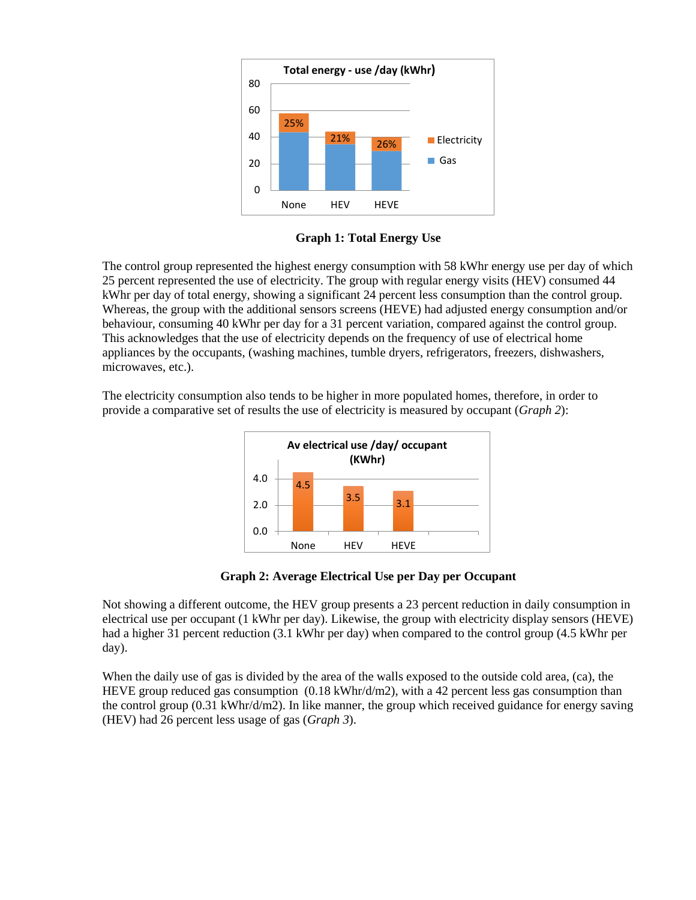

**Graph 1: Total Energy Use**

The control group represented the highest energy consumption with 58 kWhr energy use per day of which 25 percent represented the use of electricity. The group with regular energy visits (HEV) consumed 44 kWhr per day of total energy, showing a significant 24 percent less consumption than the control group. Whereas, the group with the additional sensors screens (HEVE) had adjusted energy consumption and/or behaviour, consuming 40 kWhr per day for a 31 percent variation, compared against the control group. This acknowledges that the use of electricity depends on the frequency of use of electrical home appliances by the occupants, (washing machines, tumble dryers, refrigerators, freezers, dishwashers, microwaves, etc.).

The electricity consumption also tends to be higher in more populated homes, therefore, in order to provide a comparative set of results the use of electricity is measured by occupant (*Graph 2*):



**Graph 2: Average Electrical Use per Day per Occupant**

Not showing a different outcome, the HEV group presents a 23 percent reduction in daily consumption in electrical use per occupant (1 kWhr per day). Likewise, the group with electricity display sensors (HEVE) had a higher 31 percent reduction (3.1 kWhr per day) when compared to the control group (4.5 kWhr per day).

When the daily use of gas is divided by the area of the walls exposed to the outside cold area, (ca), the HEVE group reduced gas consumption  $(0.18 \text{ kWhr/d/m2})$ , with a 42 percent less gas consumption than the control group (0.31 kWhr/d/m2). In like manner, the group which received guidance for energy saving (HEV) had 26 percent less usage of gas (*Graph 3*).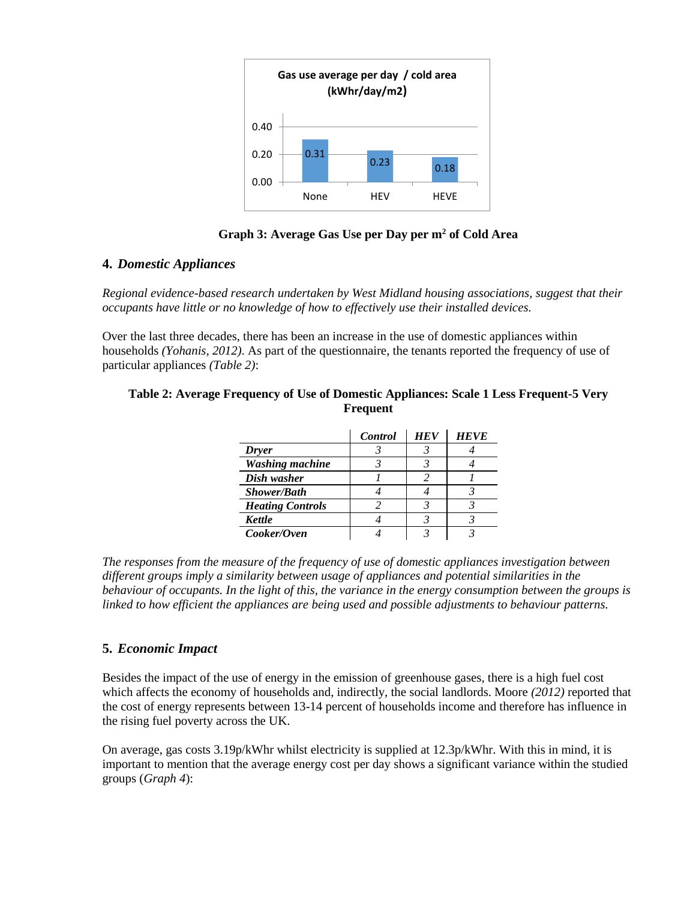

# **Graph 3: Average Gas Use per Day per m<sup>2</sup> of Cold Area**

### **4.** *Domestic Appliances*

*Regional evidence-based research undertaken by West Midland housing associations, suggest that their occupants have little or no knowledge of how to effectively use their installed devices.*

Over the last three decades, there has been an increase in the use of domestic appliances within households *(Yohanis, 2012)*. As part of the questionnaire, the tenants reported the frequency of use of particular appliances *(Table 2)*:

#### **Table 2: Average Frequency of Use of Domestic Appliances: Scale 1 Less Frequent-5 Very Frequent**

|                         | Control | <b>HEV</b> | <b>HEVE</b> |
|-------------------------|---------|------------|-------------|
| <b>Dryer</b>            |         |            |             |
| <b>Washing machine</b>  |         |            |             |
| Dish washer             |         |            |             |
| <b>Shower/Bath</b>      |         |            |             |
| <b>Heating Controls</b> |         |            |             |
| Kettle                  |         |            |             |
| Cooker/Oven             |         |            |             |

*The responses from the measure of the frequency of use of domestic appliances investigation between different groups imply a similarity between usage of appliances and potential similarities in the behaviour of occupants. In the light of this, the variance in the energy consumption between the groups is linked to how efficient the appliances are being used and possible adjustments to behaviour patterns.* 

# **5.** *Economic Impact*

Besides the impact of the use of energy in the emission of greenhouse gases, there is a high fuel cost which affects the economy of households and, indirectly, the social landlords. Moore *(2012)* reported that the cost of energy represents between 13-14 percent of households income and therefore has influence in the rising fuel poverty across the UK.

On average, gas costs 3.19p/kWhr whilst electricity is supplied at 12.3p/kWhr. With this in mind, it is important to mention that the average energy cost per day shows a significant variance within the studied groups (*Graph 4*):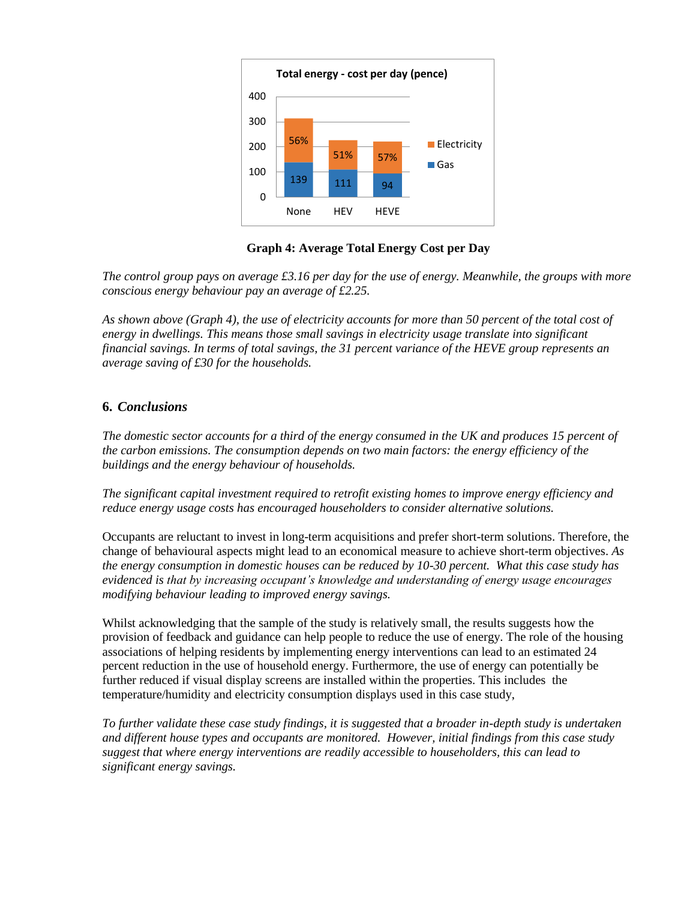

**Graph 4: Average Total Energy Cost per Day**

*The control group pays on average £3.16 per day for the use of energy. Meanwhile, the groups with more conscious energy behaviour pay an average of £2.25.* 

*As shown above (Graph 4), the use of electricity accounts for more than 50 percent of the total cost of energy in dwellings. This means those small savings in electricity usage translate into significant financial savings. In terms of total savings, the 31 percent variance of the HEVE group represents an average saving of £30 for the households.* 

# **6.** *Conclusions*

*The domestic sector accounts for a third of the energy consumed in the UK and produces 15 percent of the carbon emissions. The consumption depends on two main factors: the energy efficiency of the buildings and the energy behaviour of households.* 

*The significant capital investment required to retrofit existing homes to improve energy efficiency and reduce energy usage costs has encouraged householders to consider alternative solutions.* 

Occupants are reluctant to invest in long-term acquisitions and prefer short-term solutions. Therefore, the change of behavioural aspects might lead to an economical measure to achieve short-term objectives. *As the energy consumption in domestic houses can be reduced by 10-30 percent. What this case study has evidenced is that by increasing occupant's knowledge and understanding of energy usage encourages modifying behaviour leading to improved energy savings.* 

Whilst acknowledging that the sample of the study is relatively small, the results suggests how the provision of feedback and guidance can help people to reduce the use of energy. The role of the housing associations of helping residents by implementing energy interventions can lead to an estimated 24 percent reduction in the use of household energy. Furthermore, the use of energy can potentially be further reduced if visual display screens are installed within the properties. This includes the temperature/humidity and electricity consumption displays used in this case study,

*To further validate these case study findings, it is suggested that a broader in-depth study is undertaken and different house types and occupants are monitored. However, initial findings from this case study suggest that where energy interventions are readily accessible to householders, this can lead to significant energy savings.*